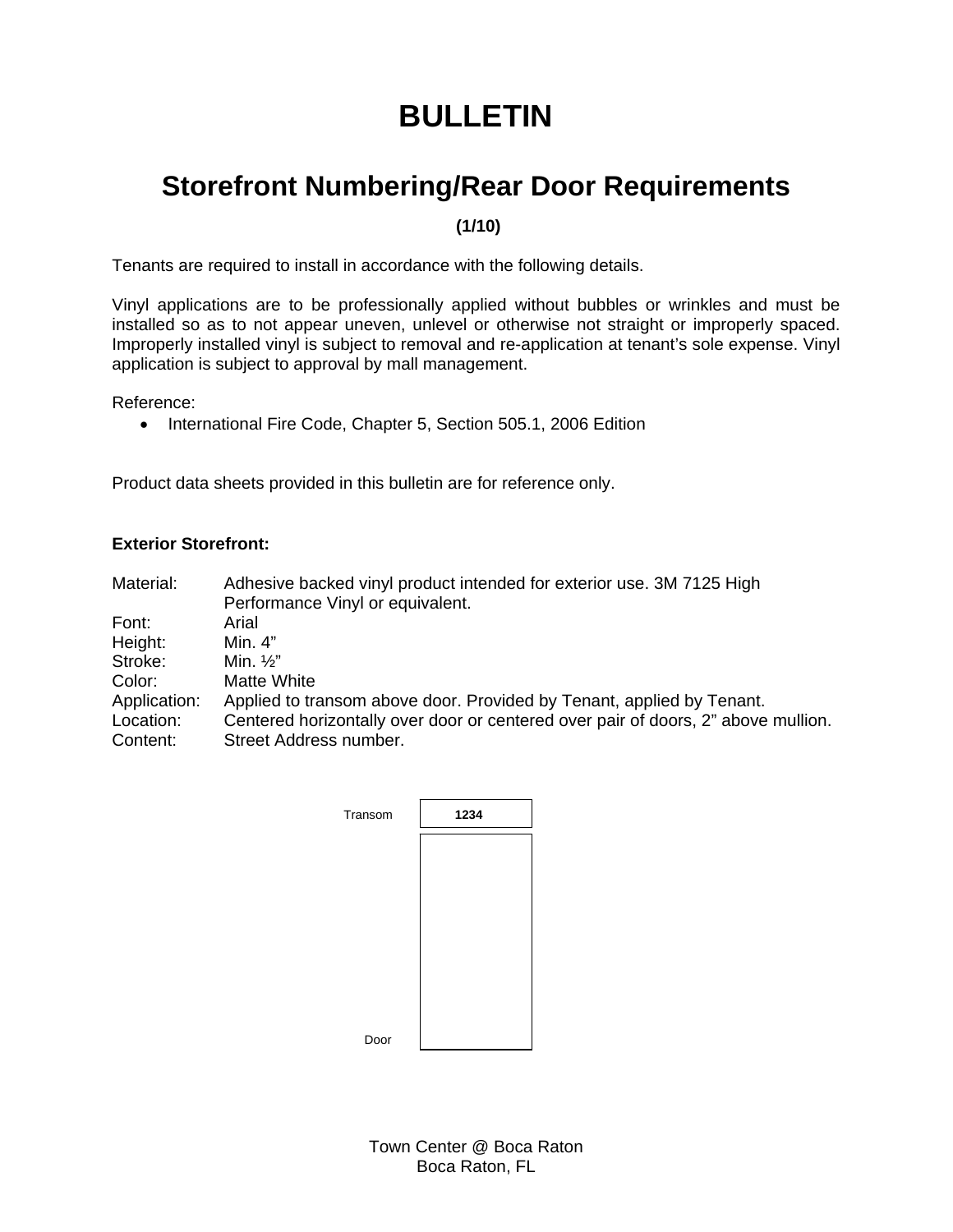## **BULLETIN**

## **Storefront Numbering/Rear Door Requirements**

 **(1/10)** 

Tenants are required to install in accordance with the following details.

Vinyl applications are to be professionally applied without bubbles or wrinkles and must be installed so as to not appear uneven, unlevel or otherwise not straight or improperly spaced. Improperly installed vinyl is subject to removal and re-application at tenant's sole expense. Vinyl application is subject to approval by mall management.

Reference:

• International Fire Code, Chapter 5, Section 505.1, 2006 Edition

Product data sheets provided in this bulletin are for reference only.

## **Exterior Storefront:**

| Material:    | Adhesive backed vinyl product intended for exterior use. 3M 7125 High<br>Performance Vinyl or equivalent. |
|--------------|-----------------------------------------------------------------------------------------------------------|
| Font:        | Arial                                                                                                     |
| Height:      | Min. 4"                                                                                                   |
| Stroke:      | Min. $\frac{1}{2}$ "                                                                                      |
| Color:       | <b>Matte White</b>                                                                                        |
| Application: | Applied to transom above door. Provided by Tenant, applied by Tenant.                                     |
| Location:    | Centered horizontally over door or centered over pair of doors, 2" above mullion.                         |
| Content:     | Street Address number.                                                                                    |

| Transom | 1234 |
|---------|------|
|         |      |
|         |      |
|         |      |
|         |      |
|         |      |
|         |      |
| Door    |      |

Town Center @ Boca Raton Boca Raton, FL